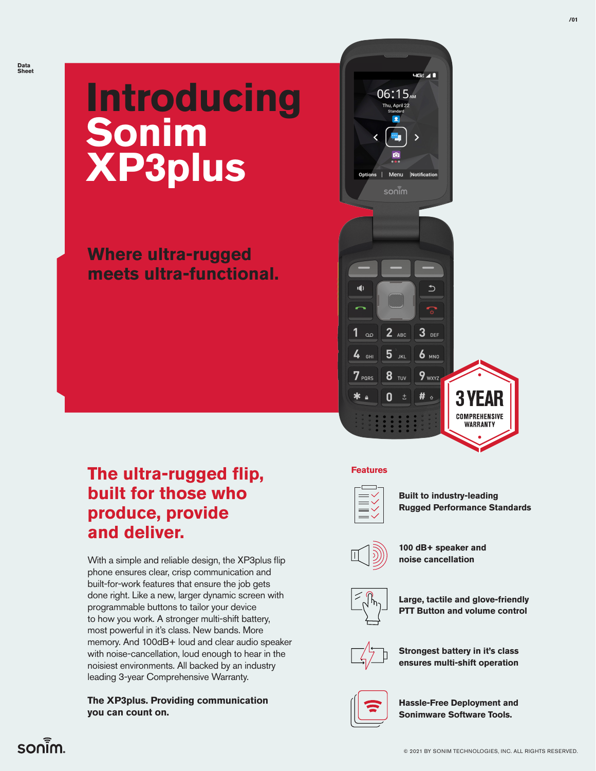# **Introducing Sonim XP3plus**

**Where ultra-rugged meets ultra-functional.**



### **The ultra-rugged flip, built for those who produce, provide and deliver.**

With a simple and reliable design, the XP3plus flip phone ensures clear, crisp communication and built-for-work features that ensure the job gets done right. Like a new, larger dynamic screen with programmable buttons to tailor your device to how you work. A stronger multi-shift battery, most powerful in it's class. New bands. More memory. And 100dB+ loud and clear audio speaker with noise-cancellation, loud enough to hear in the noisiest environments. All backed by an industry leading 3-year Comprehensive Warranty.

#### **The XP3plus. Providing communication you can count on.**

**Features**



**Built to industry-leading Rugged Performance Standards**



**100 dB+ speaker and noise cancellation**



**Large, tactile and glove-friendly PTT Button and volume control**



**Strongest battery in it's class ensures multi-shift operation**



**Hassle-Free Deployment and Sonimware Software Tools.**

### $son<sub>1</sub>$